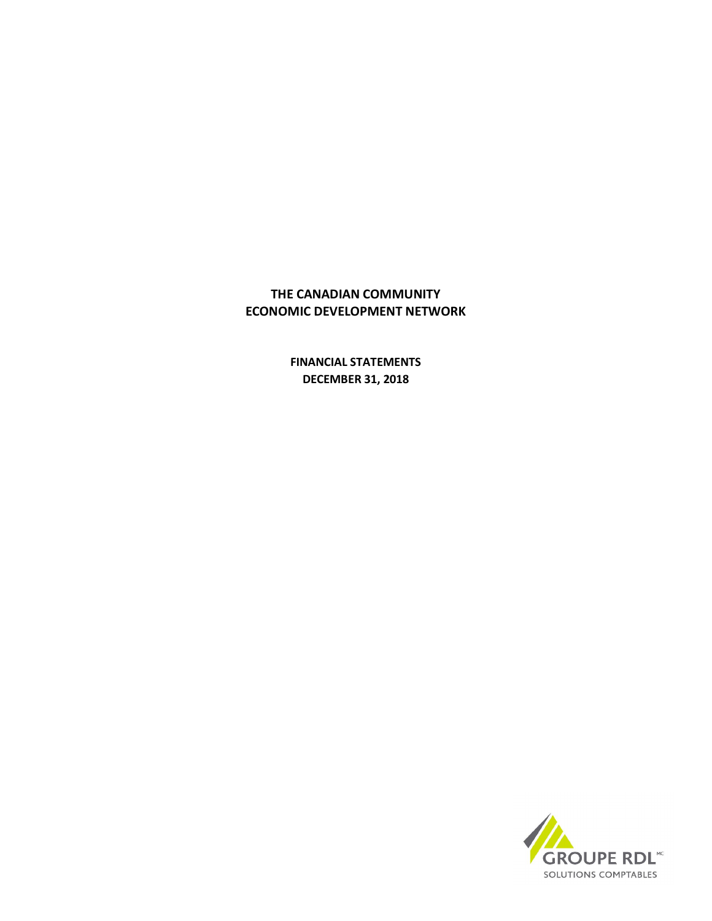**FINANCIAL STATEMENTS DECEMBER 31, 2018**

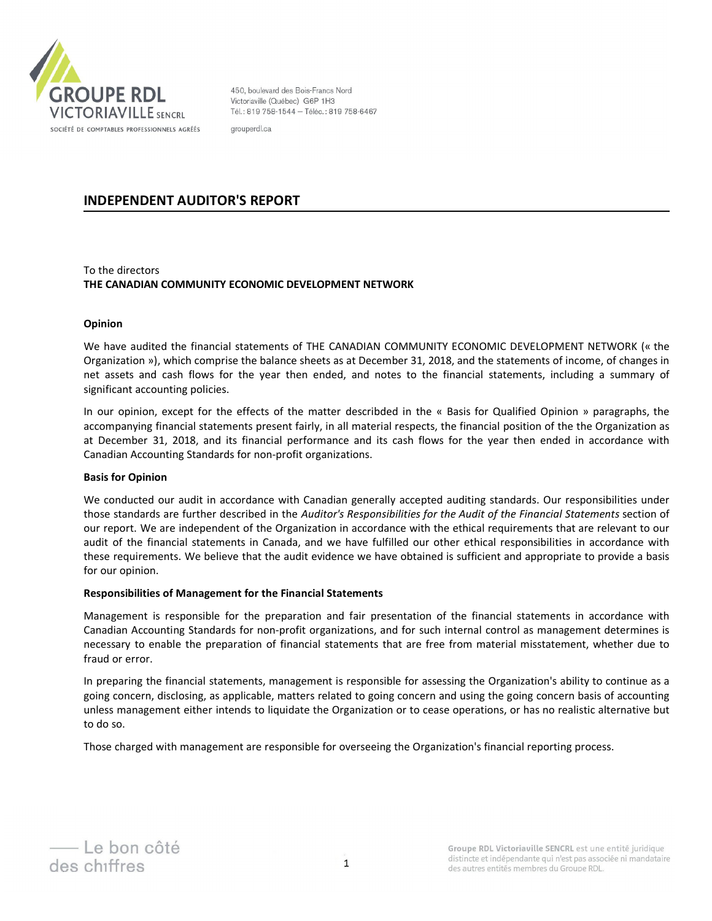

450, boulevard des Bois-Francs Nord Victoriaville (Québec) G6P 1H3 Tél.: 819 758-1544 - Téléc.: 819 758-6467

grouperdl.ca

# **INDEPENDENT AUDITOR'S REPORT**

# To the directors **THE CANADIAN COMMUNITY ECONOMIC DEVELOPMENT NETWORK**

# **Opinion**

We have audited the financial statements of THE CANADIAN COMMUNITY ECONOMIC DEVELOPMENT NETWORK (« the Organization »), which comprise the balance sheets as at December 31, 2018, and the statements of income, of changes in net assets and cash flows for the year then ended, and notes to the financial statements, including a summary of significant accounting policies.

In our opinion, except for the effects of the matter describded in the « Basis for Qualified Opinion » paragraphs, the accompanying financial statements present fairly, in all material respects, the financial position of the the Organization as at December 31, 2018, and its financial performance and its cash flows for the year then ended in accordance with Canadian Accounting Standards for non-profit organizations.

# **Basis for Opinion**

We conducted our audit in accordance with Canadian generally accepted auditing standards. Our responsibilities under those standards are further described in the *Auditor's Responsibilities for the Audit of the Financial Statements* section of our report. We are independent of the Organization in accordance with the ethical requirements that are relevant to our audit of the financial statements in Canada, and we have fulfilled our other ethical responsibilities in accordance with these requirements. We believe that the audit evidence we have obtained is sufficient and appropriate to provide a basis for our opinion.

# **Responsibilities of Management for the Financial Statements**

Management is responsible for the preparation and fair presentation of the financial statements in accordance with Canadian Accounting Standards for non-profit organizations, and for such internal control as management determines is necessary to enable the preparation of financial statements that are free from material misstatement, whether due to fraud or error.

In preparing the financial statements, management is responsible for assessing the Organization's ability to continue as a going concern, disclosing, as applicable, matters related to going concern and using the going concern basis of accounting unless management either intends to liquidate the Organization or to cease operations, or has no realistic alternative but to do so.

Those charged with management are responsible for overseeing the Organization's financial reporting process.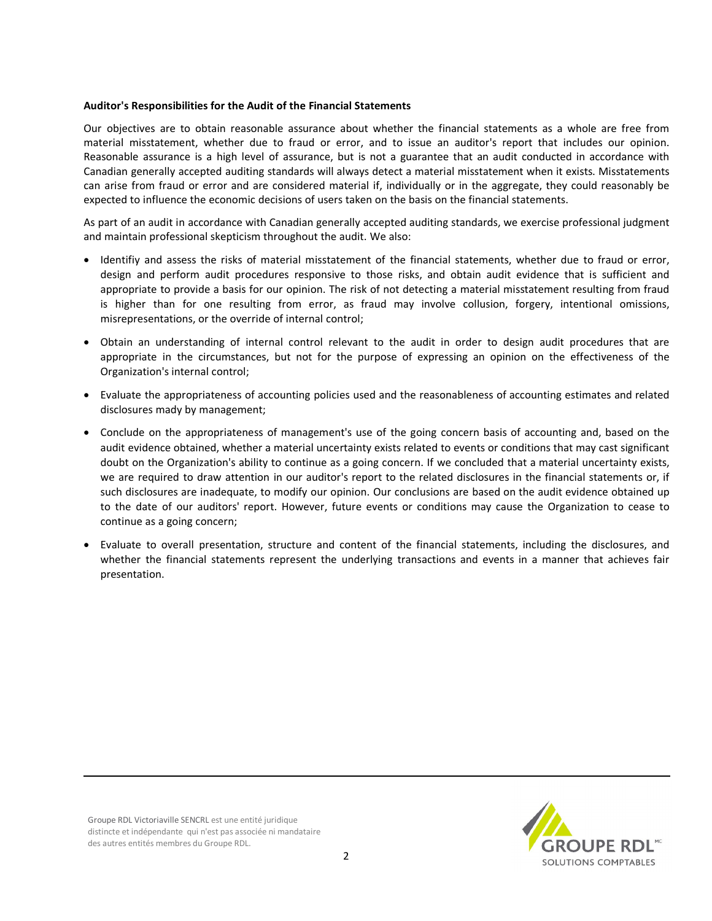#### **Auditor's Responsibilities for the Audit of the Financial Statements**

Our objectives are to obtain reasonable assurance about whether the financial statements as a whole are free from material misstatement, whether due to fraud or error, and to issue an auditor's report that includes our opinion. Reasonable assurance is a high level of assurance, but is not a guarantee that an audit conducted in accordance with Canadian generally accepted auditing standards will always detect a material misstatement when it exists. Misstatements can arise from fraud or error and are considered material if, individually or in the aggregate, they could reasonably be expected to influence the economic decisions of users taken on the basis on the financial statements.

As part of an audit in accordance with Canadian generally accepted auditing standards, we exercise professional judgment and maintain professional skepticism throughout the audit. We also:

- · Identifiy and assess the risks of material misstatement of the financial statements, whether due to fraud or error, design and perform audit procedures responsive to those risks, and obtain audit evidence that is sufficient and appropriate to provide a basis for our opinion. The risk of not detecting a material misstatement resulting from fraud is higher than for one resulting from error, as fraud may involve collusion, forgery, intentional omissions, misrepresentations, or the override of internal control;
- · Obtain an understanding of internal control relevant to the audit in order to design audit procedures that are appropriate in the circumstances, but not for the purpose of expressing an opinion on the effectiveness of the Organization's internal control;
- · Evaluate the appropriateness of accounting policies used and the reasonableness of accounting estimates and related disclosures mady by management;
- · Conclude on the appropriateness of management's use of the going concern basis of accounting and, based on the audit evidence obtained, whether a material uncertainty exists related to events or conditions that may cast significant doubt on the Organization's ability to continue as a going concern. If we concluded that a material uncertainty exists, we are required to draw attention in our auditor's report to the related disclosures in the financial statements or, if such disclosures are inadequate, to modify our opinion. Our conclusions are based on the audit evidence obtained up to the date of our auditors' report. However, future events or conditions may cause the Organization to cease to continue as a going concern;
- · Evaluate to overall presentation, structure and content of the financial statements, including the disclosures, and whether the financial statements represent the underlying transactions and events in a manner that achieves fair presentation.

Groupe RDL Victoriaville SENCRL est une entité juridique distincte et indépendante qui n'est pas associée ni mandataire des autres entités membres du Groupe RDL.

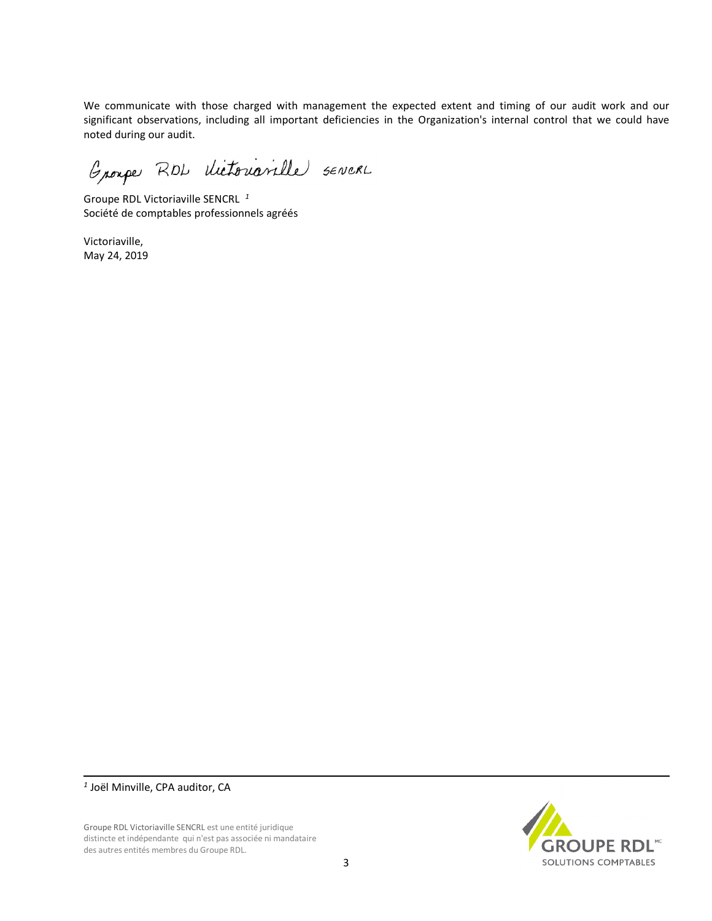We communicate with those charged with management the expected extent and timing of our audit work and our significant observations, including all important deficiencies in the Organization's internal control that we could have noted during our audit.

Groupe RDL dictorianalle servers

Groupe RDL Victoriaville SENCRL *<sup>1</sup>* Société de comptables professionnels agréés

Victoriaville, May 24, 2019

Groupe RDL Victoriaville SENCRL est une entité juridique distincte et indépendante qui n'est pas associée ni mandataire des autres entités membres du Groupe RDL.



*<sup>1</sup>* Joël Minville, CPA auditor, CA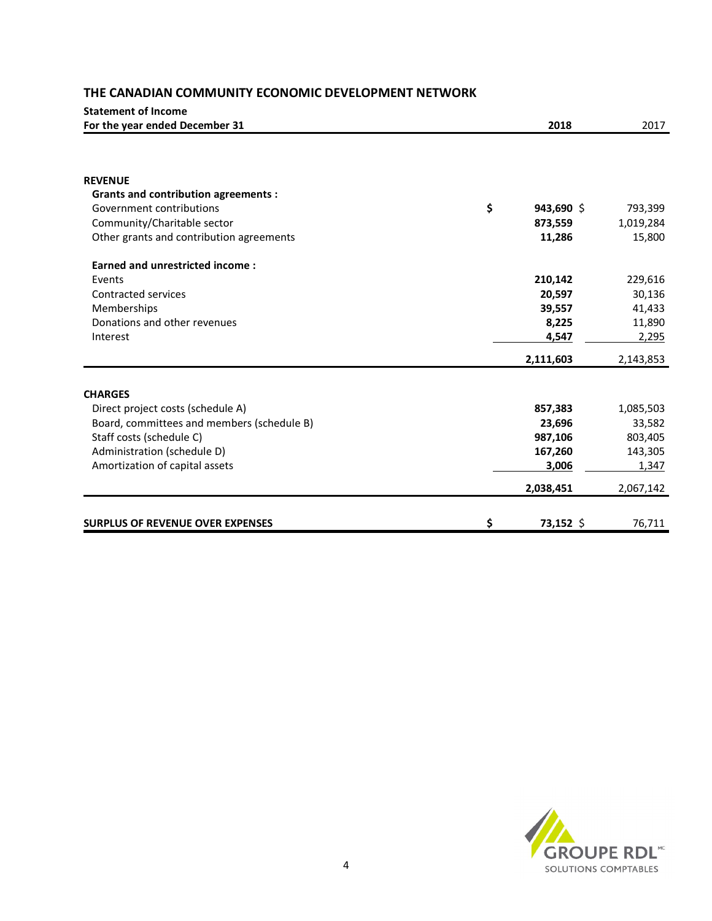| <b>Statement of Income</b>                 |                  |           |
|--------------------------------------------|------------------|-----------|
| For the year ended December 31             | 2018             | 2017      |
|                                            |                  |           |
| <b>REVENUE</b>                             |                  |           |
| <b>Grants and contribution agreements:</b> |                  |           |
| Government contributions                   | \$<br>943,690 \$ | 793,399   |
| Community/Charitable sector                | 873,559          | 1,019,284 |
| Other grants and contribution agreements   | 11,286           | 15,800    |
| <b>Earned and unrestricted income:</b>     |                  |           |
| Events                                     | 210,142          | 229,616   |
| <b>Contracted services</b>                 | 20,597           | 30,136    |
| Memberships                                | 39,557           | 41,433    |
| Donations and other revenues               | 8,225            | 11,890    |
| Interest                                   | 4,547            | 2,295     |
|                                            | 2,111,603        | 2,143,853 |
| <b>CHARGES</b>                             |                  |           |
| Direct project costs (schedule A)          | 857,383          | 1,085,503 |
| Board, committees and members (schedule B) | 23,696           | 33,582    |
| Staff costs (schedule C)                   | 987,106          | 803,405   |
| Administration (schedule D)                | 167,260          | 143,305   |
| Amortization of capital assets             | 3,006            | 1,347     |
|                                            | 2,038,451        | 2,067,142 |
|                                            |                  |           |
| <b>SURPLUS OF REVENUE OVER EXPENSES</b>    | \$<br>73,152 \$  | 76,711    |

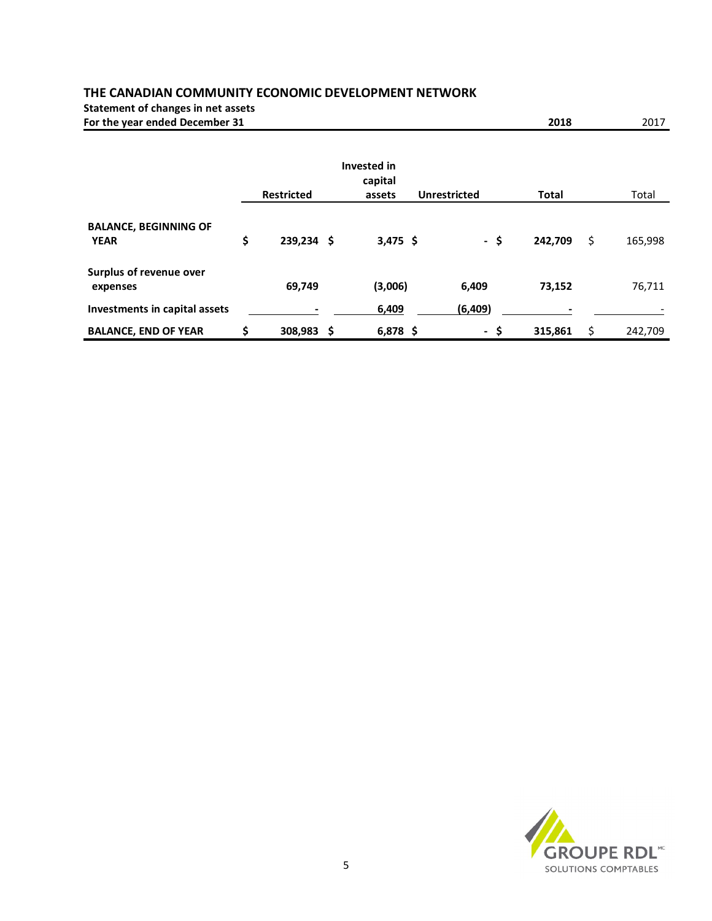**Statement of changes in net assets**

**For the year ended December 31 2018** 2017

# **Invested in capital Restricted assets Unrestricted Total** Total **BALANCE, BEGINNING OF YEAR \$ 239,234 \$ 3,475 \$ - \$ 242,709** \$ 165,998 **Surplus of revenue over expenses 69,749 (3,006) 6,409 73,152** 76,711 **Investments in capital assets - 6,409 (6,409) -** - **BALANCE, END OF YEAR \$ 308,983 \$ 6,878 \$ - \$ 315,861** \$ 242,709

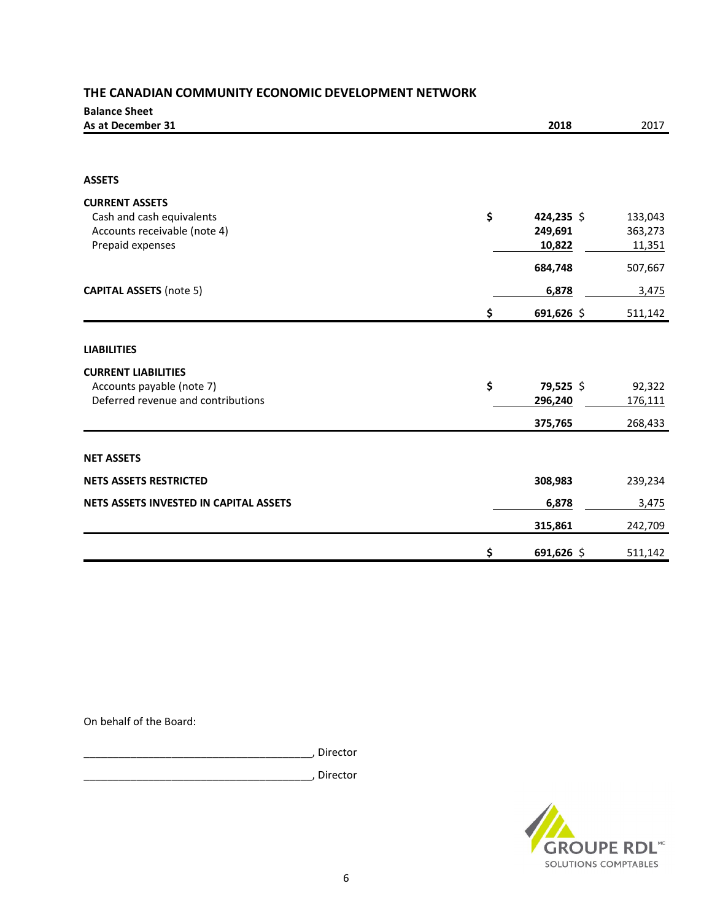| <b>Balance Sheet</b>                   |                  |         |
|----------------------------------------|------------------|---------|
| As at December 31                      | 2018             | 2017    |
|                                        |                  |         |
| <b>ASSETS</b>                          |                  |         |
| <b>CURRENT ASSETS</b>                  |                  |         |
| Cash and cash equivalents              | \$<br>424,235 \$ | 133,043 |
| Accounts receivable (note 4)           | 249,691          | 363,273 |
| Prepaid expenses                       | 10,822           | 11,351  |
|                                        | 684,748          | 507,667 |
| <b>CAPITAL ASSETS (note 5)</b>         | 6,878            | 3,475   |
|                                        | \$<br>691,626 \$ | 511,142 |
| <b>LIABILITIES</b>                     |                  |         |
| <b>CURRENT LIABILITIES</b>             |                  |         |
| Accounts payable (note 7)              | \$<br>79,525 \$  | 92,322  |
| Deferred revenue and contributions     | 296,240          | 176,111 |
|                                        | 375,765          | 268,433 |
| <b>NET ASSETS</b>                      |                  |         |
| <b>NETS ASSETS RESTRICTED</b>          | 308,983          | 239,234 |
| NETS ASSETS INVESTED IN CAPITAL ASSETS | 6,878            | 3,475   |
|                                        | 315,861          | 242,709 |
|                                        | \$<br>691,626 \$ | 511,142 |

On behalf of the Board:

\_\_\_\_\_\_\_\_\_\_\_\_\_\_\_\_\_\_\_\_\_\_\_\_\_\_\_\_\_\_\_\_\_\_\_\_\_\_\_, Director

\_\_\_\_\_\_\_\_\_\_\_\_\_\_\_\_\_\_\_\_\_\_\_\_\_\_\_\_\_\_\_\_\_\_\_\_\_\_\_, Director

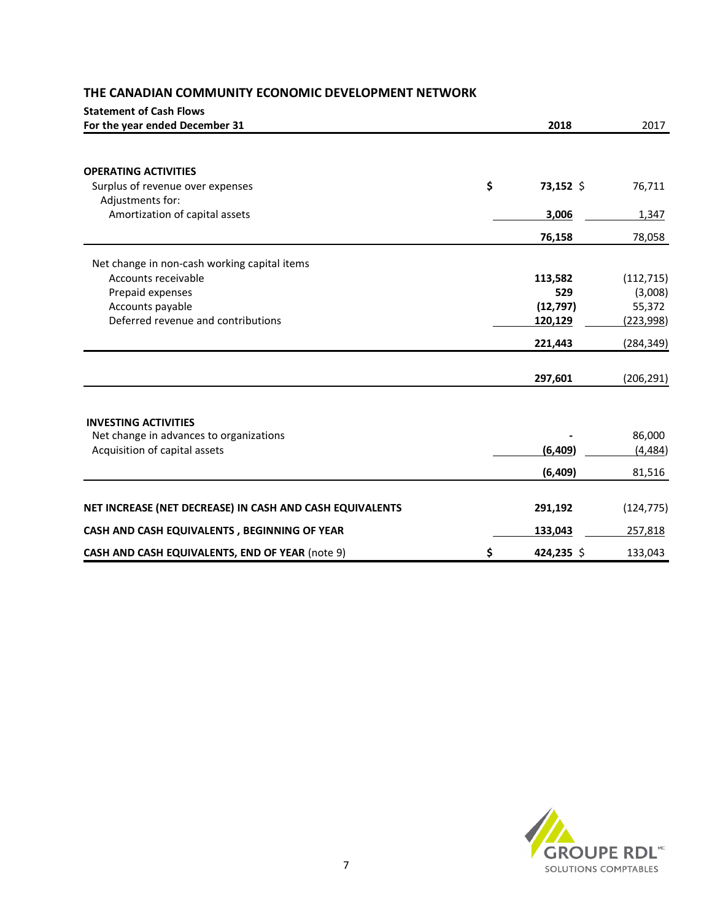| <b>Statement of Cash Flows</b>                           |                  |            |
|----------------------------------------------------------|------------------|------------|
| For the year ended December 31                           | 2018             | 2017       |
| <b>OPERATING ACTIVITIES</b>                              |                  |            |
| Surplus of revenue over expenses                         | \$<br>73,152 \$  | 76,711     |
| Adjustments for:                                         |                  |            |
| Amortization of capital assets                           | 3,006            | 1,347      |
|                                                          | 76,158           | 78,058     |
| Net change in non-cash working capital items             |                  |            |
| Accounts receivable                                      | 113,582          | (112, 715) |
| Prepaid expenses                                         | 529              | (3,008)    |
| Accounts payable                                         | (12, 797)        | 55,372     |
| Deferred revenue and contributions                       | 120,129          | (223,998)  |
|                                                          | 221,443          | (284, 349) |
|                                                          | 297,601          | (206, 291) |
| <b>INVESTING ACTIVITIES</b>                              |                  |            |
| Net change in advances to organizations                  |                  | 86,000     |
| Acquisition of capital assets                            | (6, 409)         | (4, 484)   |
|                                                          | (6, 409)         | 81,516     |
| NET INCREASE (NET DECREASE) IN CASH AND CASH EQUIVALENTS | 291,192          | (124, 775) |
| CASH AND CASH EQUIVALENTS, BEGINNING OF YEAR             | 133,043          | 257,818    |
| CASH AND CASH EQUIVALENTS, END OF YEAR (note 9)          | \$<br>424,235 \$ | 133,043    |

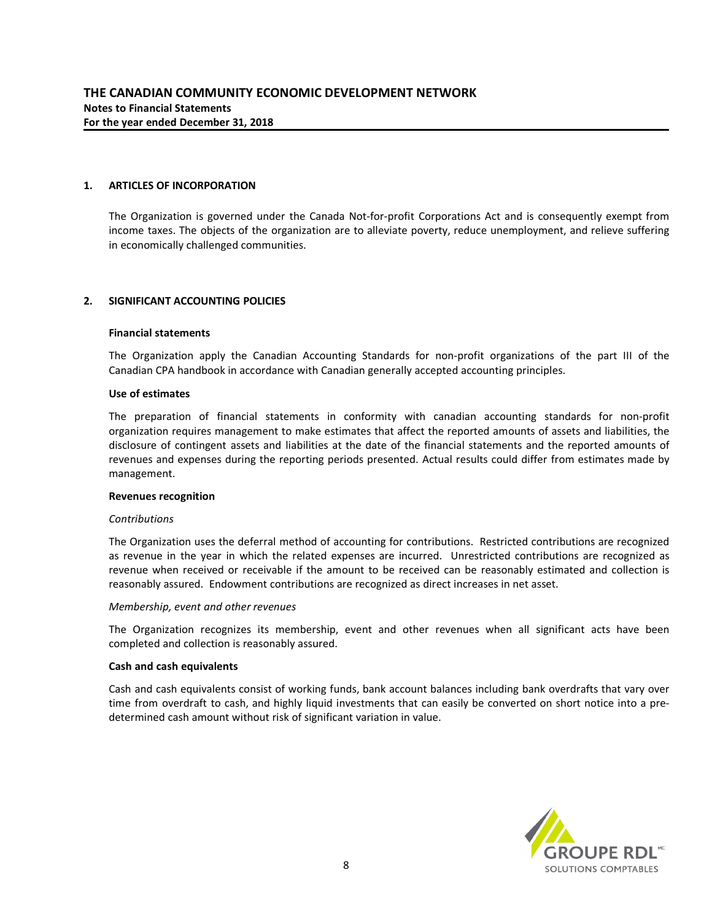### **1. ARTICLES OF INCORPORATION**

The Organization is governed under the Canada Not-for-profit Corporations Act and is consequently exempt from income taxes. The objects of the organization are to alleviate poverty, reduce unemployment, and relieve suffering in economically challenged communities.

#### **2. SIGNIFICANT ACCOUNTING POLICIES**

#### **Financial statements**

The Organization apply the Canadian Accounting Standards for non-profit organizations of the part III of the Canadian CPA handbook in accordance with Canadian generally accepted accounting principles.

#### **Use of estimates**

The preparation of financial statements in conformity with canadian accounting standards for non-profit organization requires management to make estimates that affect the reported amounts of assets and liabilities, the disclosure of contingent assets and liabilities at the date of the financial statements and the reported amounts of revenues and expenses during the reporting periods presented. Actual results could differ from estimates made by management.

#### **Revenues recognition**

#### *Contributions*

The Organization uses the deferral method of accounting for contributions. Restricted contributions are recognized as revenue in the year in which the related expenses are incurred. Unrestricted contributions are recognized as revenue when received or receivable if the amount to be received can be reasonably estimated and collection is reasonably assured. Endowment contributions are recognized as direct increases in net asset.

#### *Membership, event and other revenues*

The Organization recognizes its membership, event and other revenues when all significant acts have been completed and collection is reasonably assured.

#### **Cash and cash equivalents**

Cash and cash equivalents consist of working funds, bank account balances including bank overdrafts that vary over time from overdraft to cash, and highly liquid investments that can easily be converted on short notice into a predetermined cash amount without risk of significant variation in value.

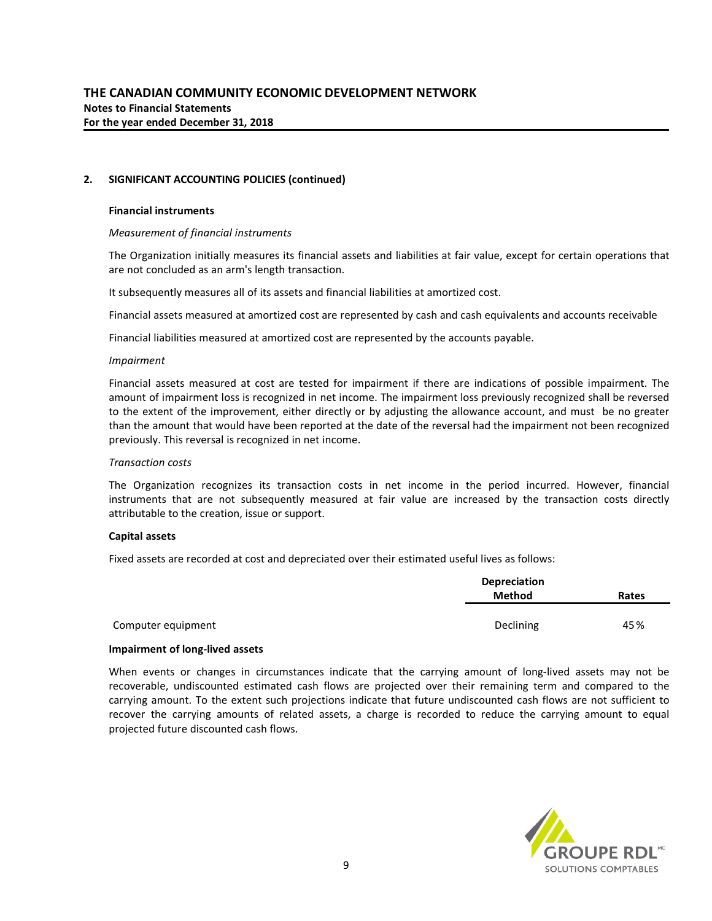### **2. SIGNIFICANT ACCOUNTING POLICIES (continued)**

#### **Financial instruments**

#### *Measurement of financial instruments*

The Organization initially measures its financial assets and liabilities at fair value, except for certain operations that are not concluded as an arm's length transaction.

It subsequently measures all of its assets and financial liabilities at amortized cost.

Financial assets measured at amortized cost are represented by cash and cash equivalents and accounts receivable

Financial liabilities measured at amortized cost are represented by the accounts payable.

#### *Impairment*

Financial assets measured at cost are tested for impairment if there are indications of possible impairment. The amount of impairment loss is recognized in net income. The impairment loss previously recognized shall be reversed to the extent of the improvement, either directly or by adjusting the allowance account, and must be no greater than the amount that would have been reported at the date of the reversal had the impairment not been recognized previously. This reversal is recognized in net income.

#### *Transaction costs*

The Organization recognizes its transaction costs in net income in the period incurred. However, financial instruments that are not subsequently measured at fair value are increased by the transaction costs directly attributable to the creation, issue or support.

#### **Capital assets**

Fixed assets are recorded at cost and depreciated over their estimated useful lives as follows:

|                    | <b>Depreciation</b>    |     |
|--------------------|------------------------|-----|
|                    | <b>Method</b><br>Rates |     |
|                    |                        |     |
| Computer equipment | Declining              | 45% |

#### **Impairment of long-lived assets**

When events or changes in circumstances indicate that the carrying amount of long-lived assets may not be recoverable, undiscounted estimated cash flows are projected over their remaining term and compared to the carrying amount. To the extent such projections indicate that future undiscounted cash flows are not sufficient to recover the carrying amounts of related assets, a charge is recorded to reduce the carrying amount to equal projected future discounted cash flows.

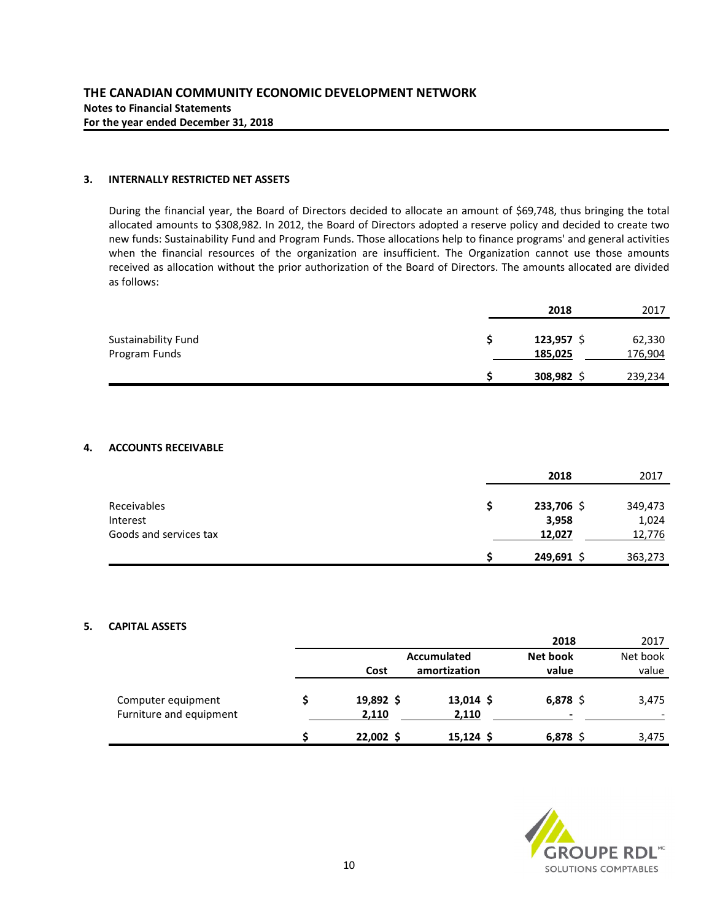# **3. INTERNALLY RESTRICTED NET ASSETS**

During the financial year, the Board of Directors decided to allocate an amount of \$69,748, thus bringing the total allocated amounts to \$308,982. In 2012, the Board of Directors adopted a reserve policy and decided to create two new funds: Sustainability Fund and Program Funds. Those allocations help to finance programs' and general activities when the financial resources of the organization are insufficient. The Organization cannot use those amounts received as allocation without the prior authorization of the Board of Directors. The amounts allocated are divided as follows:

|                     | 2018    | 2017    |
|---------------------|---------|---------|
| Sustainability Fund | 123,957 | 62,330  |
| Program Funds       | 185,025 | 176,904 |
|                     | 308,982 | 239,234 |

#### **4. ACCOUNTS RECEIVABLE**

|                        | 2018       | 2017    |
|------------------------|------------|---------|
|                        |            |         |
| Receivables            | 233,706 \$ | 349,473 |
| Interest               | 3,958      | 1,024   |
| Goods and services tax | 12,027     | 12,776  |
|                        | 249,691 \$ | 363,273 |

# **5. CAPITAL ASSETS**

|                                               |                    |                      | 2018            | 2017     |
|-----------------------------------------------|--------------------|----------------------|-----------------|----------|
|                                               |                    | Accumulated          | Net book        | Net book |
|                                               | Cost               | amortization         | value           | value    |
| Computer equipment<br>Furniture and equipment | 19,892 \$<br>2,110 | $13,014$ \$<br>2,110 | $6,878$ \$<br>- | 3,475    |
|                                               | $22,002$ \$        | $15,124$ \$          | $6,878$ \$      | 3,475    |

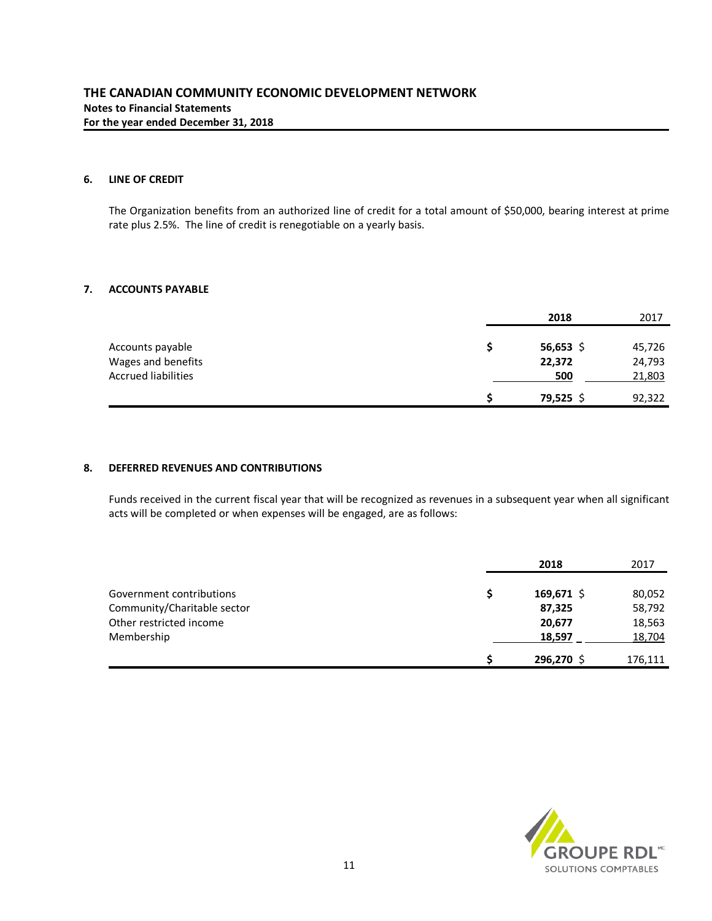# **6. LINE OF CREDIT**

The Organization benefits from an authorized line of credit for a total amount of \$50,000, bearing interest at prime rate plus 2.5%. The line of credit is renegotiable on a yearly basis.

# **7. ACCOUNTS PAYABLE**

|                            | 2018      | 2017   |
|----------------------------|-----------|--------|
| Accounts payable           | 56,653 \$ | 45,726 |
| Wages and benefits         | 22,372    | 24,793 |
| <b>Accrued liabilities</b> | 500       | 21,803 |
|                            | 79,525    | 92,322 |

# **8. DEFERRED REVENUES AND CONTRIBUTIONS**

Funds received in the current fiscal year that will be recognized as revenues in a subsequent year when all significant acts will be completed or when expenses will be engaged, are as follows:

|                             | 2018         | 2017    |
|-----------------------------|--------------|---------|
| Government contributions    | $169,671$ \$ | 80,052  |
| Community/Charitable sector | 87,325       | 58,792  |
| Other restricted income     | 20,677       | 18,563  |
| Membership                  | 18,597       | 18,704  |
|                             | 296,270 \$   | 176,111 |

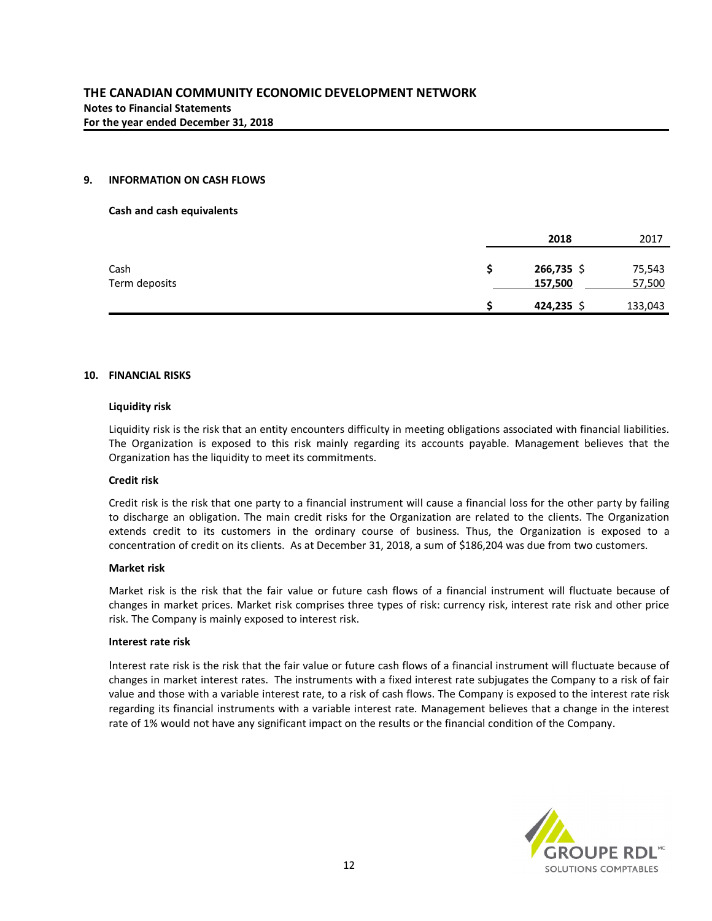# **9. INFORMATION ON CASH FLOWS**

#### **Cash and cash equivalents**

|               | 2018    | 2017    |
|---------------|---------|---------|
| Cash          | 266,735 | 75,543  |
| Term deposits | 157,500 | 57,500  |
|               | 424,235 | 133,043 |

#### **10. FINANCIAL RISKS**

#### **Liquidity risk**

Liquidity risk is the risk that an entity encounters difficulty in meeting obligations associated with financial liabilities. The Organization is exposed to this risk mainly regarding its accounts payable. Management believes that the Organization has the liquidity to meet its commitments.

#### **Credit risk**

Credit risk is the risk that one party to a financial instrument will cause a financial loss for the other party by failing to discharge an obligation. The main credit risks for the Organization are related to the clients. The Organization extends credit to its customers in the ordinary course of business. Thus, the Organization is exposed to a concentration of credit on its clients. As at December 31, 2018, a sum of \$186,204 was due from two customers.

#### **Market risk**

Market risk is the risk that the fair value or future cash flows of a financial instrument will fluctuate because of changes in market prices. Market risk comprises three types of risk: currency risk, interest rate risk and other price risk. The Company is mainly exposed to interest risk.

#### **Interest rate risk**

Interest rate risk is the risk that the fair value or future cash flows of a financial instrument will fluctuate because of changes in market interest rates. The instruments with a fixed interest rate subjugates the Company to a risk of fair value and those with a variable interest rate, to a risk of cash flows. The Company is exposed to the interest rate risk regarding its financial instruments with a variable interest rate. Management believes that a change in the interest rate of 1% would not have any significant impact on the results or the financial condition of the Company.

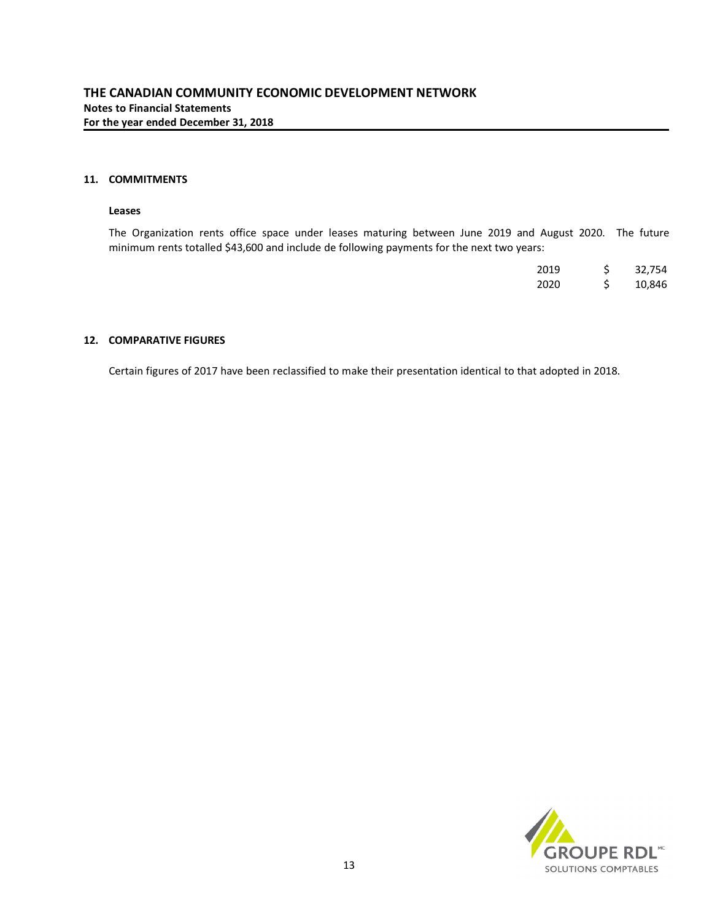# **11. COMMITMENTS**

#### **Leases**

The Organization rents office space under leases maturing between June 2019 and August 2020. The future minimum rents totalled \$43,600 and include de following payments for the next two years:

| 2019 | Ś | 32,754 |
|------|---|--------|
| 2020 | S | 10,846 |

#### **12. COMPARATIVE FIGURES**

Certain figures of 2017 have been reclassified to make their presentation identical to that adopted in 2018.

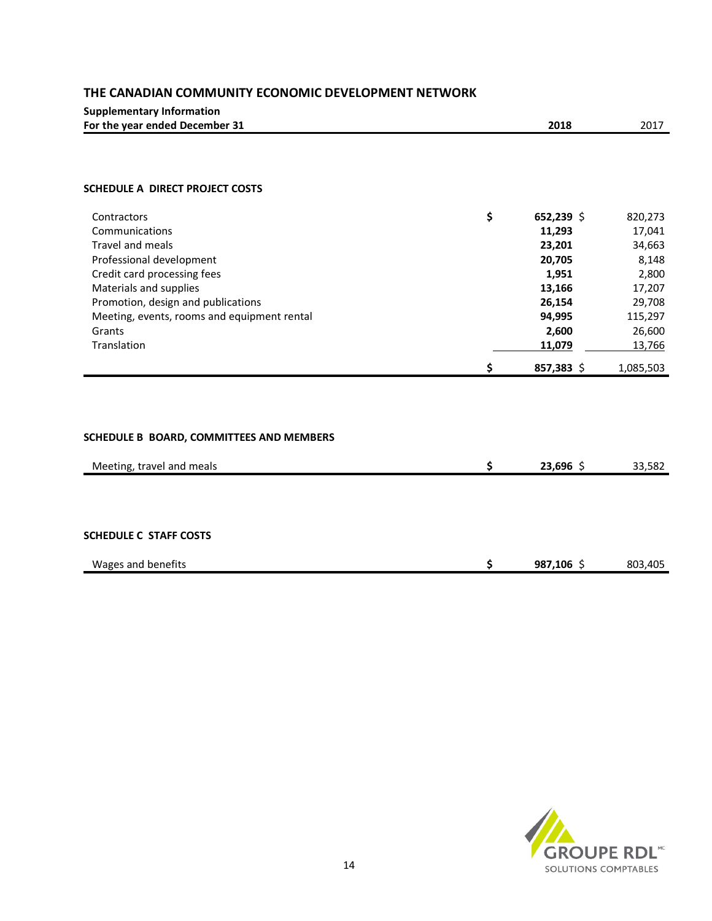| <b>Supplementary Information</b> |      |      |
|----------------------------------|------|------|
| For the year ended December 31   | 2018 | 2017 |

### **SCHEDULE A DIRECT PROJECT COSTS**

| Contractors                                 | \$<br>$652,239$ \$ | 820,273   |
|---------------------------------------------|--------------------|-----------|
| Communications                              | 11,293             | 17,041    |
| Travel and meals                            | 23,201             | 34,663    |
| Professional development                    | 20,705             | 8,148     |
| Credit card processing fees                 | 1,951              | 2,800     |
| Materials and supplies                      | 13,166             | 17,207    |
| Promotion, design and publications          | 26,154             | 29,708    |
| Meeting, events, rooms and equipment rental | 94,995             | 115,297   |
| Grants                                      | 2,600              | 26,600    |
| Translation                                 | 11,079             | 13,766    |
|                                             | \$<br>857.383 \$   | 1,085,503 |

# **SCHEDULE B BOARD, COMMITTEES AND MEMBERS**

| Meeting, travel and meals     | c   | $23,696$ \$ | 33,582  |
|-------------------------------|-----|-------------|---------|
|                               |     |             |         |
|                               |     |             |         |
| <b>SCHEDULE C STAFF COSTS</b> |     |             |         |
| Wages and benefits            | \$. | 987,106 \$  | 803,405 |